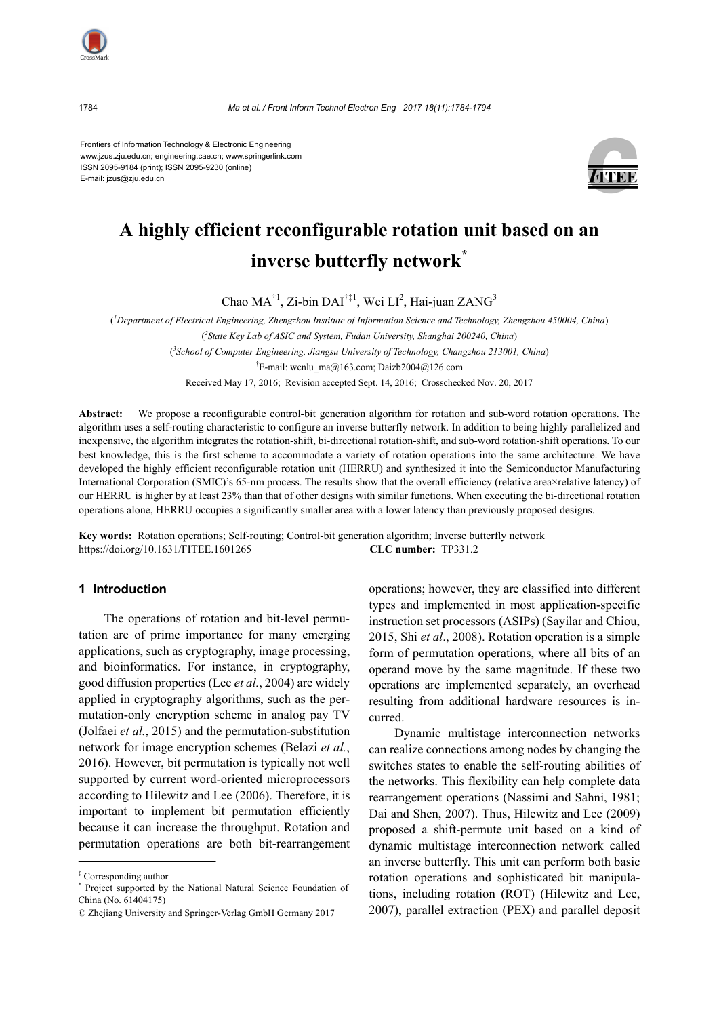

Frontiers of Information Technology & Electronic Engineering www.jzus.zju.edu.cn; engineering.cae.cn; www.springerlink.com ISSN 2095-9184 (print); ISSN 2095-9230 (online) E-mail: jzus@zju.edu.cn



# **A highly efficient reconfigurable rotation unit based on an inverse butterfly network\***

Chao  $MA^{\dagger 1}$ , Zi-bin  $DAI^{\dagger \ddagger 1}$ , Wei  $LI^2$ , Hai-juan ZANG<sup>3</sup>

( *1 Department of Electrical Engineering, Zhengzhou Institute of Information Science and Technology, Zhengzhou 450004, China*) ( *2 State Key Lab of ASIC and System, Fudan University, Shanghai 200240, China*) ( *3 School of Computer Engineering, Jiangsu University of Technology, Changzhou 213001, China*)

† E-mail: wenlu\_ma@163.com; Daizb2004@126.com

Received May 17, 2016; Revision accepted Sept. 14, 2016; Crosschecked Nov. 20, 2017

**Abstract:** We propose a reconfigurable control-bit generation algorithm for rotation and sub-word rotation operations. The algorithm uses a self-routing characteristic to configure an inverse butterfly network. In addition to being highly parallelized and inexpensive, the algorithm integrates the rotation-shift, bi-directional rotation-shift, and sub-word rotation-shift operations. To our best knowledge, this is the first scheme to accommodate a variety of rotation operations into the same architecture. We have developed the highly efficient reconfigurable rotation unit (HERRU) and synthesized it into the Semiconductor Manufacturing International Corporation (SMIC)'s 65-nm process. The results show that the overall efficiency (relative area×relative latency) of our HERRU is higher by at least 23% than that of other designs with similar functions. When executing the bi-directional rotation operations alone, HERRU occupies a significantly smaller area with a lower latency than previously proposed designs.

**Key words:** Rotation operations; Self-routing; Control-bit generation algorithm; Inverse butterfly network https://doi.org/10.1631/FITEE.1601265 **CLC number:** TP331.2

# **1 Introduction**

The operations of rotation and bit-level permutation are of prime importance for many emerging applications, such as cryptography, image processing, and bioinformatics. For instance, in cryptography, good diffusion properties (Lee *et al.*, 2004) are widely applied in cryptography algorithms, such as the permutation-only encryption scheme in analog pay TV (Jolfaei *et al.*, 2015) and the permutation-substitution network for image encryption schemes (Belazi *et al.*, 2016). However, bit permutation is typically not well supported by current word-oriented microprocessors according to Hilewitz and Lee (2006). Therefore, it is important to implement bit permutation efficiently because it can increase the throughput. Rotation and permutation operations are both bit-rearrangement operations; however, they are classified into different types and implemented in most application-specific instruction set processors (ASIPs) (Sayilar and Chiou, 2015, Shi *et al*., 2008). Rotation operation is a simple form of permutation operations, where all bits of an operand move by the same magnitude. If these two operations are implemented separately, an overhead resulting from additional hardware resources is incurred.

Dynamic multistage interconnection networks can realize connections among nodes by changing the switches states to enable the self-routing abilities of the networks. This flexibility can help complete data rearrangement operations (Nassimi and Sahni, 1981; Dai and Shen, 2007). Thus, Hilewitz and Lee (2009) proposed a shift-permute unit based on a kind of dynamic multistage interconnection network called an inverse butterfly. This unit can perform both basic rotation operations and sophisticated bit manipulations, including rotation (ROT) (Hilewitz and Lee, 2007), parallel extraction (PEX) and parallel deposit

<sup>‡</sup> Corresponding author

<sup>\*</sup> Project supported by the National Natural Science Foundation of China (No. 61404175)

<sup>©</sup> Zhejiang University and Springer-Verlag GmbH Germany 2017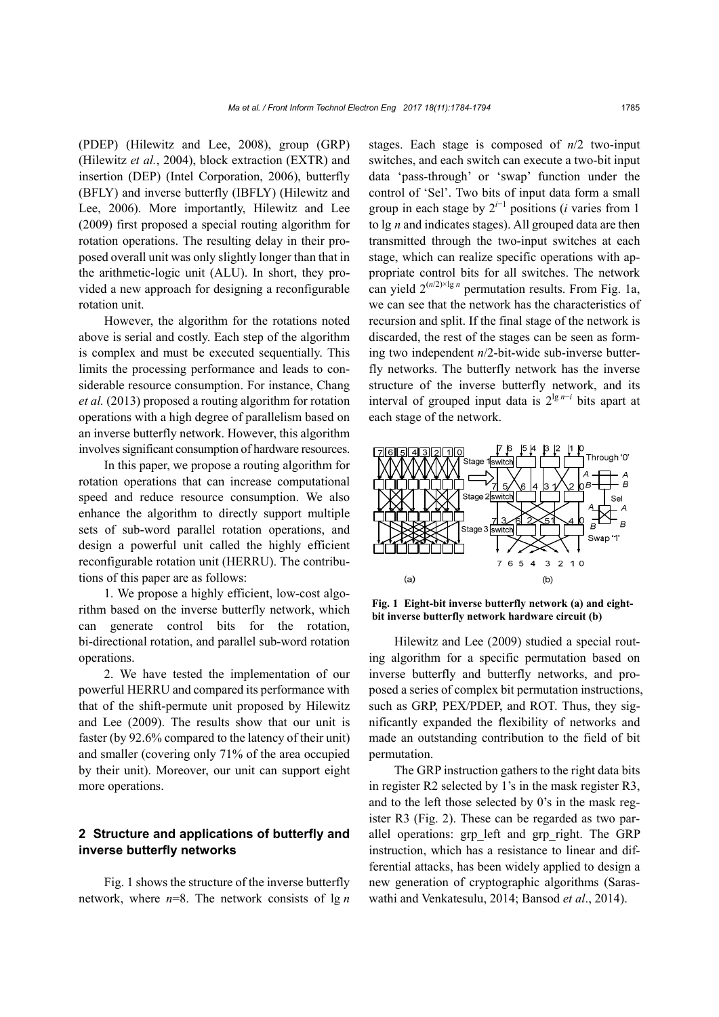(PDEP) (Hilewitz and Lee, 2008), group (GRP) (Hilewitz *et al.*, 2004), block extraction (EXTR) and insertion (DEP) (Intel Corporation, 2006), butterfly (BFLY) and inverse butterfly (IBFLY) (Hilewitz and Lee, 2006). More importantly, Hilewitz and Lee (2009) first proposed a special routing algorithm for rotation operations. The resulting delay in their proposed overall unit was only slightly longer than that in the arithmetic-logic unit (ALU). In short, they provided a new approach for designing a reconfigurable rotation unit.

However, the algorithm for the rotations noted above is serial and costly. Each step of the algorithm is complex and must be executed sequentially. This limits the processing performance and leads to considerable resource consumption. For instance, Chang *et al.* (2013) proposed a routing algorithm for rotation operations with a high degree of parallelism based on an inverse butterfly network. However, this algorithm involves significant consumption of hardware resources.

In this paper, we propose a routing algorithm for rotation operations that can increase computational speed and reduce resource consumption. We also enhance the algorithm to directly support multiple sets of sub-word parallel rotation operations, and design a powerful unit called the highly efficient reconfigurable rotation unit (HERRU). The contributions of this paper are as follows:

1. We propose a highly efficient, low-cost algorithm based on the inverse butterfly network, which can generate control bits for the rotation, bi-directional rotation, and parallel sub-word rotation operations.

2. We have tested the implementation of our powerful HERRU and compared its performance with that of the shift-permute unit proposed by Hilewitz and Lee (2009). The results show that our unit is faster (by 92.6% compared to the latency of their unit) and smaller (covering only 71% of the area occupied by their unit). Moreover, our unit can support eight more operations.

# **2 Structure and applications of butterfly and inverse butterfly networks**

Fig. 1 shows the structure of the inverse butterfly network, where *n*=8. The network consists of lg *n* stages. Each stage is composed of *n*/2 two-input switches, and each switch can execute a two-bit input data 'pass-through' or 'swap' function under the control of 'Sel'. Two bits of input data form a small group in each stage by  $2^{i-1}$  positions (*i* varies from 1 to lg *n* and indicates stages). All grouped data are then transmitted through the two-input switches at each stage, which can realize specific operations with appropriate control bits for all switches. The network can yield  $2^{(n/2)\times \lg n}$  permutation results. From Fig. 1a, we can see that the network has the characteristics of recursion and split. If the final stage of the network is discarded, the rest of the stages can be seen as forming two independent *n*/2-bit-wide sub-inverse butterfly networks. The butterfly network has the inverse structure of the inverse butterfly network, and its interval of grouped input data is  $2^{\lg n - i}$  bits apart at each stage of the network.



**Fig. 1 Eight-bit inverse butterfly network (a) and eightbit inverse butterfly network hardware circuit (b)**

Hilewitz and Lee (2009) studied a special routing algorithm for a specific permutation based on inverse butterfly and butterfly networks, and proposed a series of complex bit permutation instructions, such as GRP, PEX/PDEP, and ROT. Thus, they significantly expanded the flexibility of networks and made an outstanding contribution to the field of bit permutation.

The GRP instruction gathers to the right data bits in register R2 selected by 1's in the mask register R3, and to the left those selected by 0's in the mask register R3 (Fig. 2). These can be regarded as two parallel operations: grp\_left and grp\_right. The GRP instruction, which has a resistance to linear and differential attacks, has been widely applied to design a new generation of cryptographic algorithms (Saraswathi and Venkatesulu, 2014; Bansod *et al*., 2014).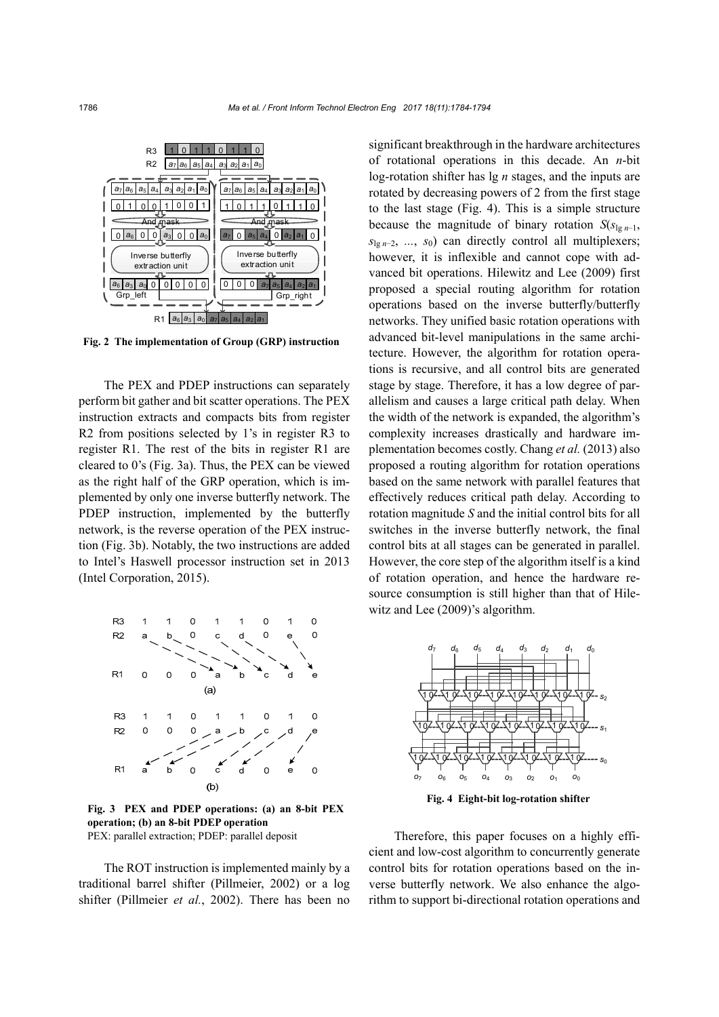

**Fig. 2 The implementation of Group (GRP) instruction**

The PEX and PDEP instructions can separately perform bit gather and bit scatter operations. The PEX instruction extracts and compacts bits from register R2 from positions selected by 1's in register R3 to register R1. The rest of the bits in register R1 are cleared to 0's (Fig. 3a). Thus, the PEX can be viewed as the right half of the GRP operation, which is implemented by only one inverse butterfly network. The PDEP instruction, implemented by the butterfly network, is the reverse operation of the PEX instruction (Fig. 3b). Notably, the two instructions are added to Intel's Haswell processor instruction set in 2013 (Intel Corporation, 2015).



**Fig. 3 PEX and PDEP operations: (a) an 8-bit PEX operation; (b) an 8-bit PDEP operation**  PEX: parallel extraction; PDEP: parallel deposit

The ROT instruction is implemented mainly by a traditional barrel shifter (Pillmeier, 2002) or a log shifter (Pillmeier *et al.*, 2002). There has been no

significant breakthrough in the hardware architectures of rotational operations in this decade. An *n*-bit log-rotation shifter has lg *n* stages, and the inputs are rotated by decreasing powers of 2 from the first stage to the last stage (Fig. 4). This is a simple structure because the magnitude of binary rotation  $S(s_{\lg n-1},$ *s*lg *n*−2, *...*, *s*0) can directly control all multiplexers; however, it is inflexible and cannot cope with advanced bit operations. Hilewitz and Lee (2009) first proposed a special routing algorithm for rotation operations based on the inverse butterfly/butterfly networks. They unified basic rotation operations with advanced bit-level manipulations in the same architecture. However, the algorithm for rotation operations is recursive, and all control bits are generated stage by stage. Therefore, it has a low degree of parallelism and causes a large critical path delay. When the width of the network is expanded, the algorithm's complexity increases drastically and hardware implementation becomes costly. Chang *et al.* (2013) also proposed a routing algorithm for rotation operations based on the same network with parallel features that effectively reduces critical path delay. According to rotation magnitude *S* and the initial control bits for all switches in the inverse butterfly network, the final control bits at all stages can be generated in parallel. However, the core step of the algorithm itself is a kind of rotation operation, and hence the hardware resource consumption is still higher than that of Hilewitz and Lee (2009)'s algorithm.



**Fig. 4 Eight-bit log-rotation shifter** 

Therefore, this paper focuses on a highly efficient and low-cost algorithm to concurrently generate control bits for rotation operations based on the inverse butterfly network. We also enhance the algorithm to support bi-directional rotation operations and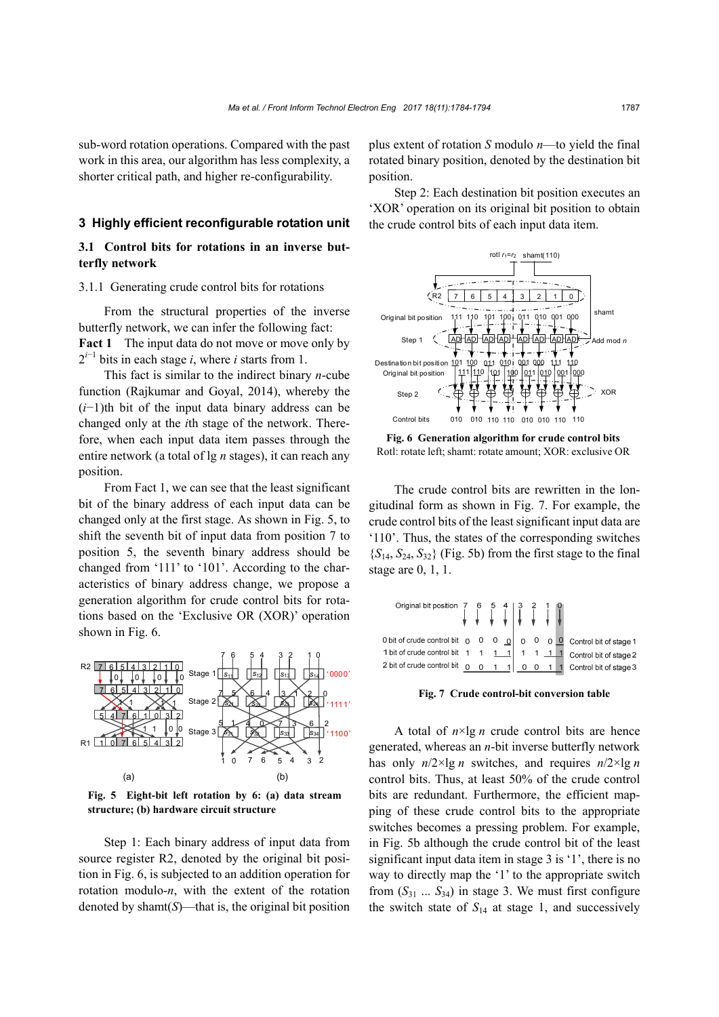sub-word rotation operations. Compared with the past work in this area, our algorithm has less complexity, a shorter critical path, and higher re-configurability.

## **3 Highly efficient reconfigurable rotation unit**

# **3.1 Control bits for rotations in an inverse butterfly network**

### 3.1.1 Generating crude control bits for rotations

From the structural properties of the inverse butterfly network, we can infer the following fact: **Fact 1** The input data do not move or move only by  $2^{i-1}$  bits in each stage *i*, where *i* starts from 1.

This fact is similar to the indirect binary *n*-cube function (Rajkumar and Goyal, 2014), whereby the (*i*−1)th bit of the input data binary address can be changed only at the *i*th stage of the network. Therefore, when each input data item passes through the entire network (a total of lg *n* stages), it can reach any position.

From Fact 1, we can see that the least significant bit of the binary address of each input data can be changed only at the first stage. As shown in Fig. 5, to shift the seventh bit of input data from position 7 to position 5, the seventh binary address should be changed from '111' to '101'. According to the characteristics of binary address change, we propose a generation algorithm for crude control bits for rotations based on the 'Exclusive OR (XOR)' operation shown in Fig. 6.



**Fig. 5 Eight-bit left rotation by 6: (a) data stream structure; (b) hardware circuit structure**

Step 1: Each binary address of input data from source register R2, denoted by the original bit position in Fig. 6, is subjected to an addition operation for rotation modulo-*n*, with the extent of the rotation denoted by shamt(*S*)—that is, the original bit position

plus extent of rotation *S* modulo *n*—to yield the final rotated binary position, denoted by the destination bit position.

Step 2: Each destination bit position executes an 'XOR' operation on its original bit position to obtain the crude control bits of each input data item.



**Fig. 6 Generation algorithm for crude control bits**  Rotl: rotate left; shamt: rotate amount; XOR: exclusive OR

The crude control bits are rewritten in the longitudinal form as shown in Fig. 7. For example, the crude control bits of the least significant input data are '110'. Thus, the states of the corresponding switches  ${S_{14}, S_{24}, S_{32}}$  (Fig. 5b) from the first stage to the final stage are 0, 1, 1.

| Original bit position $\begin{array}{ccc} 7 & 6 & 5 & 4 & 3 & 2 & 1 & 0 \\ \hline \end{array}$                              |  |  |  |  |  |
|-----------------------------------------------------------------------------------------------------------------------------|--|--|--|--|--|
| O bit of crude control bit $\begin{bmatrix} 0 & 0 & 0 & \boxed{0} & 0 & 0 & \boxed{0} \end{bmatrix}$ Control bit of stage 1 |  |  |  |  |  |
| 1 bit of crude control bit $1 \quad 1 \quad 1 \quad 1 \quad 1 \quad 1 \quad 1 \quad 1 \quad 1$ Control bit of stage 2       |  |  |  |  |  |
| 2 bit of crude control bit $\begin{bmatrix} 0 & 0 & 1 & 1 \end{bmatrix}$ 0 0 1 1 Control bit of stage 3                     |  |  |  |  |  |

**Fig. 7 Crude control-bit conversion table** 

A total of  $n \times \lg n$  crude control bits are hence generated, whereas an *n*-bit inverse butterfly network has only  $n/2 \times \lg n$  switches, and requires  $n/2 \times \lg n$ control bits. Thus, at least 50% of the crude control bits are redundant. Furthermore, the efficient mapping of these crude control bits to the appropriate switches becomes a pressing problem. For example, in Fig. 5b although the crude control bit of the least significant input data item in stage 3 is '1', there is no way to directly map the '1' to the appropriate switch from  $(S_{31} \ldots S_{34})$  in stage 3. We must first configure the switch state of  $S_{14}$  at stage 1, and successively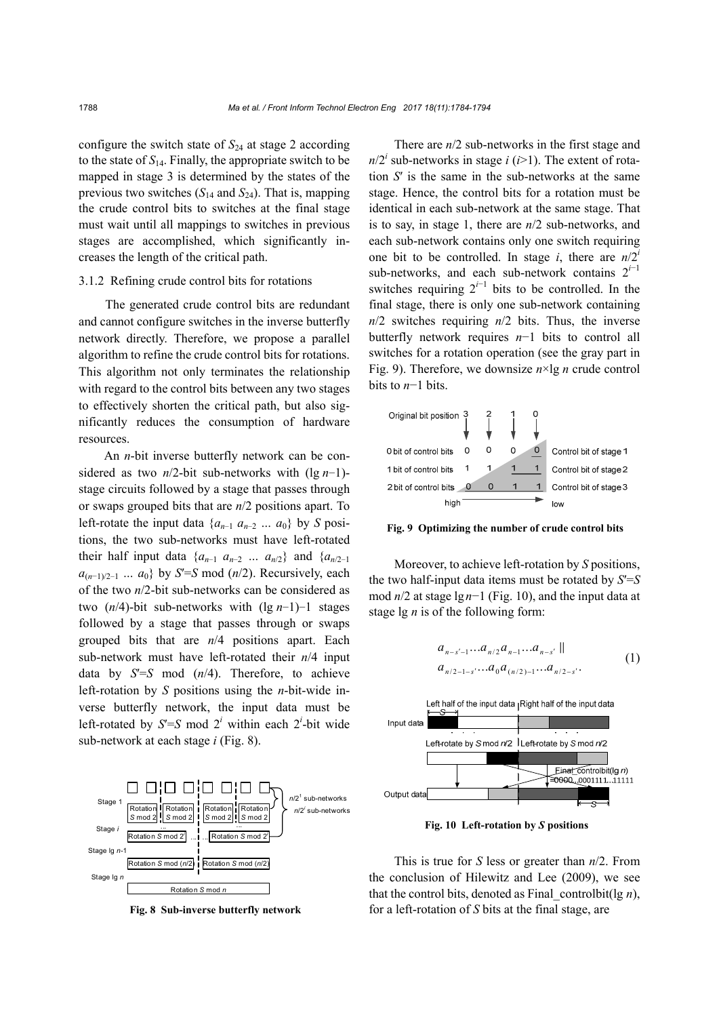configure the switch state of  $S_{24}$  at stage 2 according to the state of  $S<sub>14</sub>$ . Finally, the appropriate switch to be mapped in stage 3 is determined by the states of the previous two switches  $(S_{14} \text{ and } S_{24})$ . That is, mapping the crude control bits to switches at the final stage must wait until all mappings to switches in previous stages are accomplished, which significantly increases the length of the critical path.

#### 3.1.2 Refining crude control bits for rotations

The generated crude control bits are redundant and cannot configure switches in the inverse butterfly network directly. Therefore, we propose a parallel algorithm to refine the crude control bits for rotations. This algorithm not only terminates the relationship with regard to the control bits between any two stages to effectively shorten the critical path, but also significantly reduces the consumption of hardware resources.

An *n*-bit inverse butterfly network can be considered as two *n*/2-bit sub-networks with (lg *n*−1) stage circuits followed by a stage that passes through or swaps grouped bits that are *n*/2 positions apart. To left-rotate the input data  $\{a_{n-1}, a_{n-2}, \ldots, a_0\}$  by *S* positions, the two sub-networks must have left-rotated their half input data  $\{a_{n-1}, a_{n-2}, \ldots, a_{n/2}\}$  and  $\{a_{n/2-1}, a_{n/2}\}$ *a*(*n*−1)/2−<sup>1</sup> *… a*0} by *S*′=*S* mod (*n*/2). Recursively, each of the two *n*/2-bit sub-networks can be considered as two (*n*/4)-bit sub-networks with (lg *n*−1)−1 stages followed by a stage that passes through or swaps grouped bits that are *n*/4 positions apart. Each sub-network must have left-rotated their *n*/4 input data by *S*′=*S* mod (*n*/4). Therefore, to achieve left-rotation by *S* positions using the *n*-bit-wide inverse butterfly network, the input data must be left-rotated by  $S' = S \mod 2^i$  within each 2<sup>*i*</sup>-bit wide sub-network at each stage *i* (Fig. 8).



**Fig. 8 Sub-inverse butterfly network** 

There are *n*/2 sub-networks in the first stage and  $n/2^i$  sub-networks in stage *i* (*i*>1). The extent of rotation *S*′ is the same in the sub-networks at the same stage. Hence, the control bits for a rotation must be identical in each sub-network at the same stage. That is to say, in stage 1, there are *n*/2 sub-networks, and each sub-network contains only one switch requiring one bit to be controlled. In stage *i*, there are  $n/2<sup>i</sup>$ sub-networks, and each sub-network contains 2*<sup>i</sup>*−<sup>1</sup> switches requiring  $2^{i-1}$  bits to be controlled. In the final stage, there is only one sub-network containing *n*/2 switches requiring *n*/2 bits. Thus, the inverse butterfly network requires *n*−1 bits to control all switches for a rotation operation (see the gray part in Fig. 9). Therefore, we downsize *n*×lg *n* crude control bits to *n*−1 bits.



**Fig. 9 Optimizing the number of crude control bits** 

Moreover, to achieve left-rotation by *S* positions, the two half-input data items must be rotated by *S*′=*S* mod *n*/2 at stage lg*n*−1 (Fig. 10), and the input data at stage lg *n* is of the following form:

$$
a_{n-s'-1}...a_{n/2}a_{n-1}...a_{n-s'} ||a_{n/2-1-s'}...a_0a_{(n/2)-1}...a_{n/2-s'}.
$$
 (1)



**Fig. 10 Left-rotation by** *S* **positions** 

This is true for *S* less or greater than *n*/2. From the conclusion of Hilewitz and Lee (2009), we see that the control bits, denoted as Final controlbit(lg  $n$ ), for a left-rotation of *S* bits at the final stage, are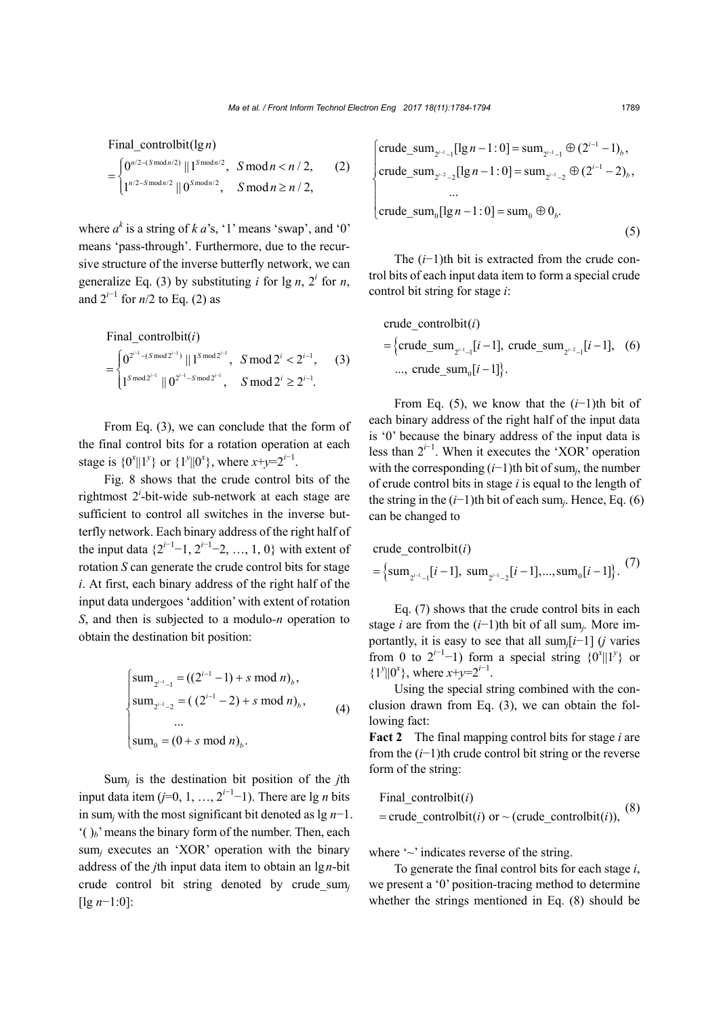$/2 - (S \mod n/2)$   $|| \mathbf{1} S \mod n/2$  $\sqrt{2-S} \mod n/2$  ||  $\Omega$ Smod $n/2$ Final\_controlbit( $\lg n$ )  $0^{n/2-(S \mod n/2)}$  ||  $1^{S \mod n/2}$ ,  $S \mod n < n/2$ ,  $1^{n/2-S \text{ mod } n/2}$  ||  $0^{S \text{ mod } n/2}$ ,  $S \text{ mod } n \ge n/2$ ,  $n/2$ – $(S \mod n/2)$ <sub>II</sub> 1Smodn  $n/2-S$  mod $n/2$   $\prod$   $\Omega$ *S* mod*n*  $S \bmod n < n$ *S* mod  $n \ge n$ i,  $= \begin{cases} 0^{n/2 - (S \mod n/2)} || 1^{S \mod n/2}, & S \mod n < 0 \\ 1^{n/2 - S \mod n/2} || 0^{S \mod n/2} & S \mod n > 0 \end{cases}$  $\left[1^{n/2-S \text{ mod } n/2} \mid 0^{S \text{ mod } n/2}, S \text{ mod } n \geq 0\right]$ (2)

where  $a^k$  is a string of  $k$  *a*'s, '1' means 'swap', and '0' means 'pass-through'. Furthermore, due to the recursive structure of the inverse butterfly network, we can generalize Eq. (3) by substituting *i* for  $\lg n$ ,  $2^i$  for *n*, and  $2^{i-1}$  for *n*/2 to Eq. (2) as

Final\_countrolbit(*i*)  
\n
$$
= \begin{cases}\n0^{2^{i-1} - (S \mod 2^{i-1})} || 1^{S \mod 2^{i-1}}, & S \mod 2^{i} < 2^{i-1}, \\
1^{S \mod 2^{i-1}} || 0^{2^{i-1} - S \mod 2^{i-1}}, & S \mod 2^{i} \ge 2^{i-1}.\n\end{cases}
$$
\n(3)

From Eq. (3), we can conclude that the form of the final control bits for a rotation operation at each stage is  $\{0^x \| 1^y\}$  or  $\{1^y \| 0^x\}$ , where  $x+y=2^{i-1}$ .

Fig. 8 shows that the crude control bits of the rightmost 2<sup>*i*</sup>-bit-wide sub-network at each stage are sufficient to control all switches in the inverse butterfly network. Each binary address of the right half of the input data  $\{2^{i-1}-1, 2^{i-1}-2, ..., 1, 0\}$  with extent of rotation *S* can generate the crude control bits for stage *i*. At first, each binary address of the right half of the input data undergoes 'addition' with extent of rotation *S*, and then is subjected to a modulo*-n* operation to obtain the destination bit position:

$$
\begin{cases}\n\text{sum}_{2^{i-1}-1} = ((2^{i-1} - 1) + s \mod n)_b, \\
\text{sum}_{2^{i-1}-2} = ((2^{i-1} - 2) + s \mod n)_b, \\
\dots \\
\text{sum}_0 = (0 + s \mod n)_b.\n\end{cases} (4)
$$

Sum*j* is the destination bit position of the *j*th input data item  $(j=0, 1, ..., 2^{i-1}-1)$ . There are lg *n* bits in sum*j* with the most significant bit denoted as lg *n*−1.  $'$ ( $b$ <sup>b</sup>)<sup> $\alpha$ </sup> means the binary form of the number. Then, each sum*j* executes an 'XOR' operation with the binary address of the *j*th input data item to obtain an lg*n*-bit crude control bit string denoted by crude*\_*sum*<sup>j</sup>* [lg *n*−1:0]:

$$
\begin{cases}\n\text{crude\_sum}_{2^{i-1}-1}[\lg n-1:0] = \text{sum}_{2^{i-1}-1} \oplus (2^{i-1}-1)_b, \\
\text{crude\_sum}_{2^{i-2}-2}[\lg n-1:0] = \text{sum}_{2^{i-1}-2} \oplus (2^{i-1}-2)_b, \\
&\dots \\
\text{crude\_sum}_0[\lg n-1:0] = \text{sum}_0 \oplus 0_b.\n\end{cases} \tag{5}
$$

The (*i*−1)th bit is extracted from the crude control bits of each input data item to form a special crude control bit string for stage *i*:

crude\_controlbit(*i*)  
= {crude\_sum<sub>2<sup>i-1</sup>-1</sub>[*i*-1], crude\_sum<sub>2<sup>i-2</sup>-1</sub>[*i*-1], (6)  
..., crude\_sum<sub>0</sub>[*i*-1]
$$
\}.
$$

From Eq. (5), we know that the (*i*−1)th bit of each binary address of the right half of the input data is '0' because the binary address of the input data is less than  $2^{i-1}$ . When it executes the 'XOR' operation with the corresponding (*i*−1)th bit of sum*j*, the number of crude control bits in stage *i* is equal to the length of the string in the (*i*−1)th bit of each sum*j*. Hence, Eq. (6) can be changed to

 1 1 <sup>0</sup> 21 22 crude\_controlbit( ) sum [ 1], sum [ 1],...,sum [ 1] . *i i i i ii* (7)

Eq. (7) shows that the crude control bits in each stage *i* are from the (*i*−1)th bit of all sum*j.* More importantly, it is easy to see that all sum*j*[*i*−1] (*j* varies from 0 to  $2^{i-1}-1$ ) form a special string  $\{0^x \mid |1^y\}$  or  ${1^y}$ ||0<sup>*x*</sup>}, where *x*+*y*=2<sup>*i*-1</sup>.

Using the special string combined with the conclusion drawn from Eq. (3), we can obtain the following fact:

**Fact 2** The final mapping control bits for stage *i* are from the (*i*−1)th crude control bit string or the reverse form of the string:

Final\_controlbit( ) crude\_controlbit( ) or ~ (crude\_controlbit( )), *i i i* (8)

where  $\sim$  indicates reverse of the string.

To generate the final control bits for each stage *i*, we present a '0' position-tracing method to determine whether the strings mentioned in Eq. (8) should be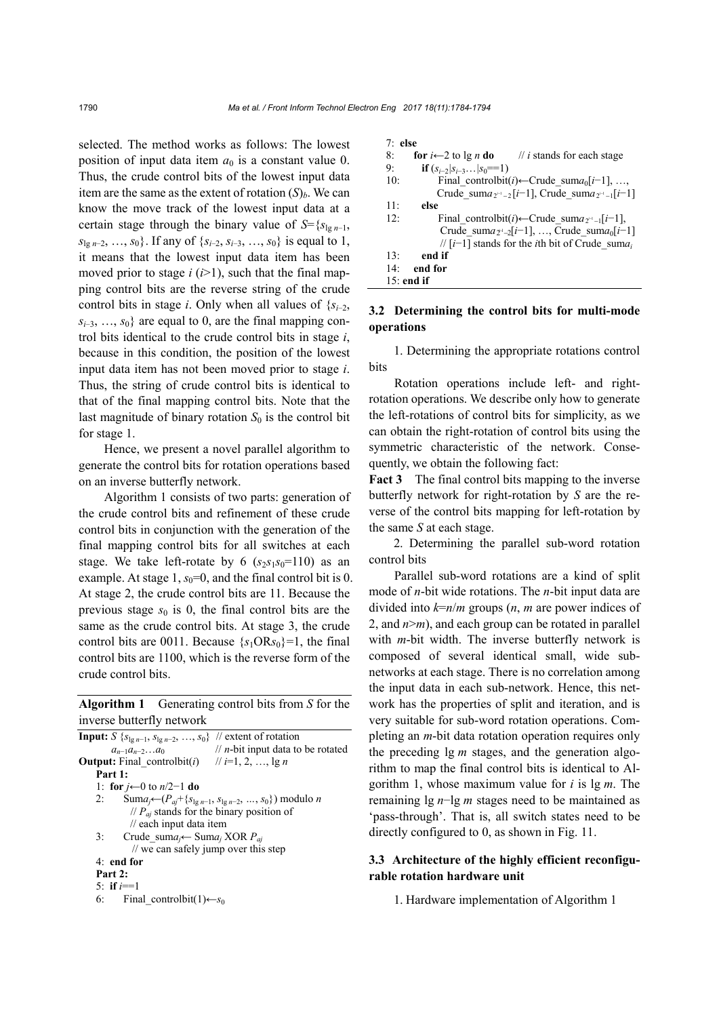selected. The method works as follows: The lowest position of input data item  $a_0$  is a constant value 0. Thus, the crude control bits of the lowest input data item are the same as the extent of rotation  $(S)<sub>b</sub>$ . We can know the move track of the lowest input data at a certain stage through the binary value of  $S = {s_{lg n-1}}$ , *s*<sub>lg *n*−2, …, *s*<sub>0</sub>}. If any of {*s<sub>i−2</sub>, s<sub>i−3</sub>, …, s*<sub>0</sub>} is equal to 1,</sub> it means that the lowest input data item has been moved prior to stage  $i$  ( $i>1$ ), such that the final mapping control bits are the reverse string of the crude control bits in stage *i*. Only when all values of  $\{s_{i-2},\}$ *s*<sub>*i*−3</sub>, …, *s*<sub>0</sub>} are equal to 0, are the final mapping control bits identical to the crude control bits in stage *i*, because in this condition, the position of the lowest input data item has not been moved prior to stage *i*. Thus, the string of crude control bits is identical to that of the final mapping control bits. Note that the last magnitude of binary rotation  $S_0$  is the control bit for stage 1.

Hence, we present a novel parallel algorithm to generate the control bits for rotation operations based on an inverse butterfly network.

Algorithm 1 consists of two parts: generation of the crude control bits and refinement of these crude control bits in conjunction with the generation of the final mapping control bits for all switches at each stage. We take left-rotate by 6  $(s_2s_1s_0=110)$  as an example. At stage  $1, s_0=0$ , and the final control bit is 0. At stage 2, the crude control bits are 11. Because the previous stage  $s_0$  is 0, the final control bits are the same as the crude control bits. At stage 3, the crude control bits are 0011. Because  $\{s_1 \text{OR} s_0\} = 1$ , the final control bits are 1100, which is the reverse form of the crude control bits.

**Algorithm 1** Generating control bits from *S* for the inverse butterfly network

**Input:**  $S \{ s_{\lg n-1}, s_{\lg n-2}, ..., s_0 \}$  // extent of rotation  $a_{n-1}a_{n-2}...a_0$  // *n*-bit input data to be rotated **Output:** Final controlbit(*i*) // *i*=1, 2, …, lg *n* **Part 1:** 1: **for** *j*←0 to *n*/2−1 **do** 2: Sum*aj*←(*Paj*+{*s*lg *n*−1, *s*lg *n*−2, *…*, *s*0}) modulo *n*  $// P_{ai}$  stands for the binary position of // each input data item 3:Crude\_sum*aj*← Sum*aj* XOR *Paj* // we can safely jump over this step 4: **end for Part 2:**  5: **if**  $i=1$ 6: Final controlbit(1)← $s_0$ 

| $7:$ else       |                                                                          |
|-----------------|--------------------------------------------------------------------------|
| 8:              | <b>for</b> $i \leftarrow 2$ to lg n <b>do</b> // i stands for each stage |
| 9:              | <b>if</b> $(s_{i-2} s_{i-3} s_0 == 1)$                                   |
| 10:             | Final controlbit(i)—Crude sum $a_0[i-1]$ , ,                             |
|                 | Crude sum $a_{2^{i-1}-2}[i-1]$ , Crude sum $a_{2^{i-1}-1}[i-1]$          |
| 11:             | else                                                                     |
| 12:             | Final controlbit(i)—Crude sum $a_{2^{i-1}}[i-1]$ ,                       |
|                 | Crude sum $a_{2^i-2}[i-1]$ , , Crude sum $a_0[i-1]$                      |
|                 | // $[i-1]$ stands for the <i>i</i> th bit of Crude suma <sub>i</sub>     |
| 13:             | end if                                                                   |
| 14 <sup>·</sup> | end for                                                                  |
| $15$ : end if   |                                                                          |
|                 |                                                                          |

# **3.2 Determining the control bits for multi-mode operations**

1. Determining the appropriate rotations control bits

Rotation operations include left- and rightrotation operations. We describe only how to generate the left-rotations of control bits for simplicity, as we can obtain the right-rotation of control bits using the symmetric characteristic of the network. Consequently, we obtain the following fact:

**Fact 3** The final control bits mapping to the inverse butterfly network for right-rotation by *S* are the reverse of the control bits mapping for left-rotation by the same *S* at each stage.

2. Determining the parallel sub-word rotation control bits

Parallel sub-word rotations are a kind of split mode of *n*-bit wide rotations. The *n*-bit input data are divided into *k*=*n*/*m* groups (*n*, *m* are power indices of 2, and  $n>m$ ), and each group can be rotated in parallel with *m*-bit width. The inverse butterfly network is composed of several identical small, wide subnetworks at each stage. There is no correlation among the input data in each sub-network. Hence, this network has the properties of split and iteration, and is very suitable for sub-word rotation operations. Completing an *m*-bit data rotation operation requires only the preceding lg *m* stages, and the generation algorithm to map the final control bits is identical to Algorithm 1, whose maximum value for *i* is lg *m*. The remaining lg *n*−lg *m* stages need to be maintained as 'pass-through'. That is, all switch states need to be directly configured to 0, as shown in Fig. 11.

# **3.3 Architecture of the highly efficient reconfigurable rotation hardware unit**

1. Hardware implementation of Algorithm 1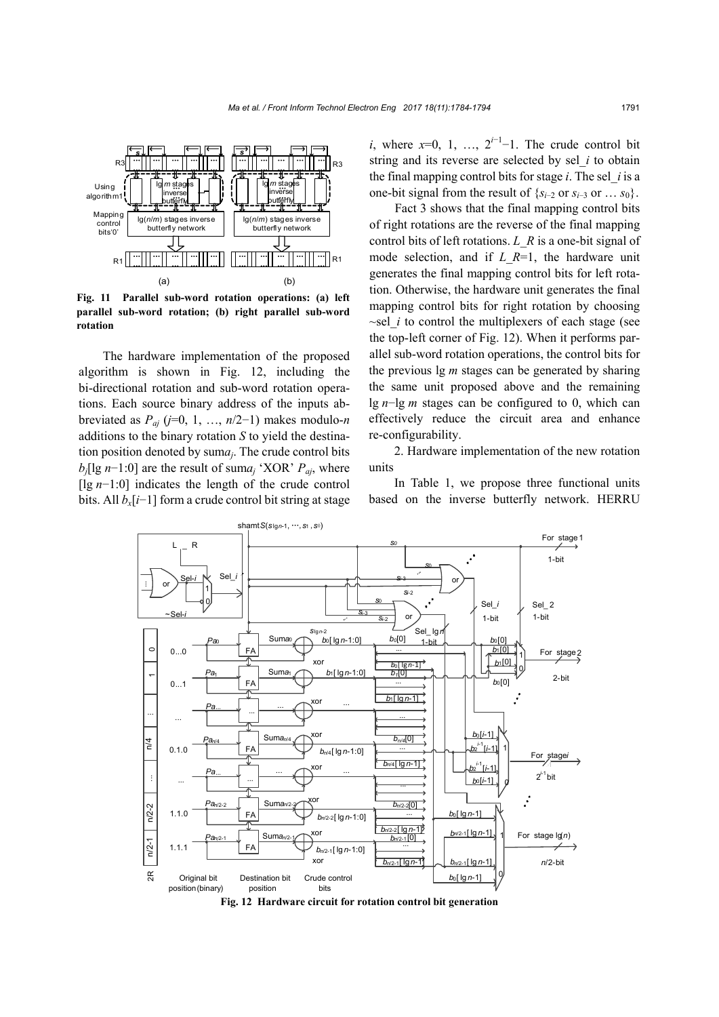

**Fig. 11 Parallel sub-word rotation operations: (a) left parallel sub-word rotation; (b) right parallel sub-word rotation**

The hardware implementation of the proposed algorithm is shown in Fig. 12, including the bi-directional rotation and sub-word rotation operations. Each source binary address of the inputs abbreviated as  $P_{ai}$  ( $j=0, 1, ..., n/2-1$ ) makes modulo-*n* additions to the binary rotation *S* to yield the destination position denoted by sum*aj*. The crude control bits *bj*[lg *n*−1:0] are the result of sum*aj* 'XOR' *Paj*, where [lg *n*−1:0] indicates the length of the crude control bits. All *bx*[*i*−1] form a crude control bit string at stage

*i*, where  $x=0, 1, \ldots, 2^{i-1}-1$ . The crude control bit string and its reverse are selected by sel*\_i* to obtain the final mapping control bits for stage *i*. The sel*\_i* is a one-bit signal from the result of  $\{s_{i-2}$  or  $s_{i-3}$  or  $\ldots$   $s_0\}$ .

Fact 3 shows that the final mapping control bits of right rotations are the reverse of the final mapping control bits of left rotations. *L\_R* is a one-bit signal of mode selection, and if *L\_R*=1, the hardware unit generates the final mapping control bits for left rotation. Otherwise, the hardware unit generates the final mapping control bits for right rotation by choosing *~*sel*\_i* to control the multiplexers of each stage (see the top-left corner of Fig. 12). When it performs parallel sub-word rotation operations, the control bits for the previous lg *m* stages can be generated by sharing the same unit proposed above and the remaining lg *n*−lg *m* stages can be configured to 0, which can effectively reduce the circuit area and enhance re-configurability.

2. Hardware implementation of the new rotation units

In Table 1, we propose three functional units based on the inverse butterfly network. HERRU



**Fig. 12 Hardware circuit for rotation control bit generation**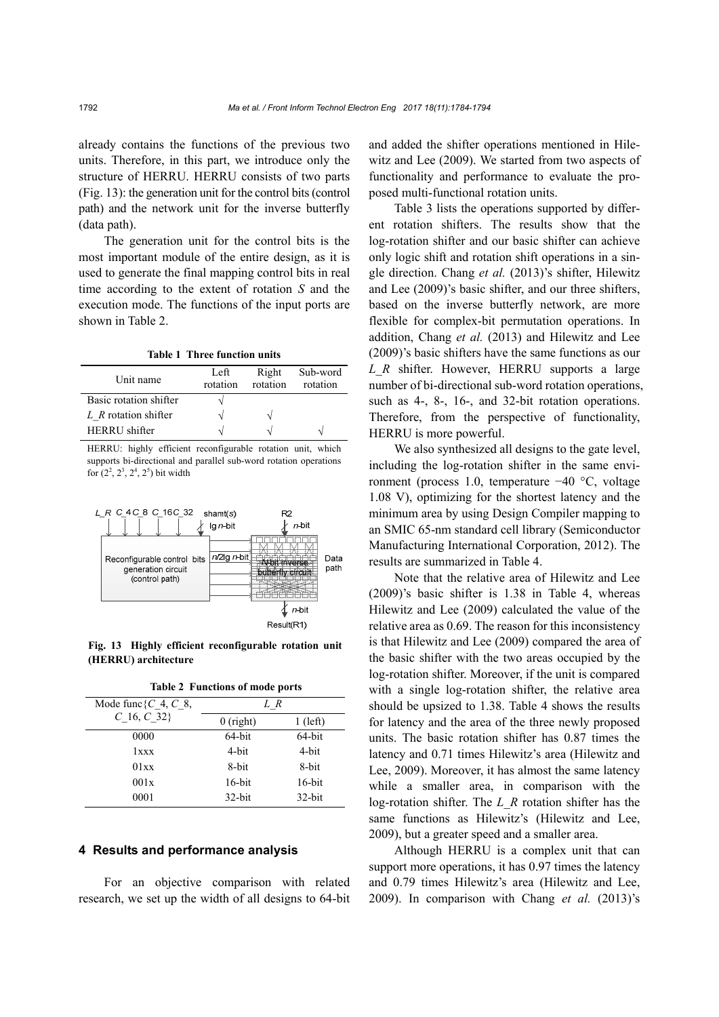already contains the functions of the previous two units. Therefore, in this part, we introduce only the structure of HERRU. HERRU consists of two parts (Fig. 13): the generation unit for the control bits (control path) and the network unit for the inverse butterfly (data path).

The generation unit for the control bits is the most important module of the entire design, as it is used to generate the final mapping control bits in real time according to the extent of rotation *S* and the execution mode. The functions of the input ports are shown in Table 2.

**Table 1 Three function units** 

| Unit name              | Left<br>rotation | Right<br>rotation | Sub-word<br>rotation |
|------------------------|------------------|-------------------|----------------------|
| Basic rotation shifter |                  |                   |                      |
| L R rotation shifter   |                  | $\mathcal{L}$     |                      |
| <b>HERRU</b> shifter   |                  |                   |                      |

HERRU: highly efficient reconfigurable rotation unit, which supports bi-directional and parallel sub-word rotation operations for  $(2^2, 2^3, 2^4, 2^5)$  bit width



**Fig. 13 Highly efficient reconfigurable rotation unit (HERRU) architecture** 

| <b>Table 2 Functions of mode ports</b> |  |
|----------------------------------------|--|
|                                        |  |

| Mode func { $C$ 4, $C$ 8, | L R         |            |
|---------------------------|-------------|------------|
| $C$ 16, $C$ 32}           | $0$ (right) | $1$ (left) |
| 0000                      | 64-bit      | 64-bit     |
| 1xxx                      | 4-bit       | 4-bit      |
| 01xx                      | 8-bit       | 8-bit      |
| 001x                      | $16$ -bit   | $16$ -bit  |
| 0001                      | $32$ -bit   | $32$ -bit  |

## **4 Results and performance analysis**

For an objective comparison with related research, we set up the width of all designs to 64-bit and added the shifter operations mentioned in Hilewitz and Lee (2009). We started from two aspects of functionality and performance to evaluate the proposed multi-functional rotation units.

Table 3 lists the operations supported by different rotation shifters. The results show that the log-rotation shifter and our basic shifter can achieve only logic shift and rotation shift operations in a single direction. Chang *et al.* (2013)'s shifter, Hilewitz and Lee (2009)'s basic shifter, and our three shifters, based on the inverse butterfly network, are more flexible for complex-bit permutation operations. In addition, Chang *et al.* (2013) and Hilewitz and Lee (2009)'s basic shifters have the same functions as our *L*\_*R* shifter. However, HERRU supports a large number of bi-directional sub-word rotation operations, such as 4-, 8-, 16-, and 32-bit rotation operations. Therefore, from the perspective of functionality, HERRU is more powerful.

We also synthesized all designs to the gate level, including the log-rotation shifter in the same environment (process 1.0, temperature −40 °C, voltage 1.08 V), optimizing for the shortest latency and the minimum area by using Design Compiler mapping to an SMIC 65-nm standard cell library (Semiconductor Manufacturing International Corporation, 2012). The results are summarized in Table 4.

Note that the relative area of Hilewitz and Lee (2009)'s basic shifter is 1.38 in Table 4, whereas Hilewitz and Lee (2009) calculated the value of the relative area as 0.69. The reason for this inconsistency is that Hilewitz and Lee (2009) compared the area of the basic shifter with the two areas occupied by the log-rotation shifter. Moreover, if the unit is compared with a single log-rotation shifter, the relative area should be upsized to 1.38. Table 4 shows the results for latency and the area of the three newly proposed units. The basic rotation shifter has 0.87 times the latency and 0.71 times Hilewitz's area (Hilewitz and Lee, 2009). Moreover, it has almost the same latency while a smaller area, in comparison with the log-rotation shifter. The *L*\_*R* rotation shifter has the same functions as Hilewitz's (Hilewitz and Lee, 2009), but a greater speed and a smaller area.

Although HERRU is a complex unit that can support more operations, it has 0.97 times the latency and 0.79 times Hilewitz's area (Hilewitz and Lee, 2009). In comparison with Chang *et al.* (2013)'s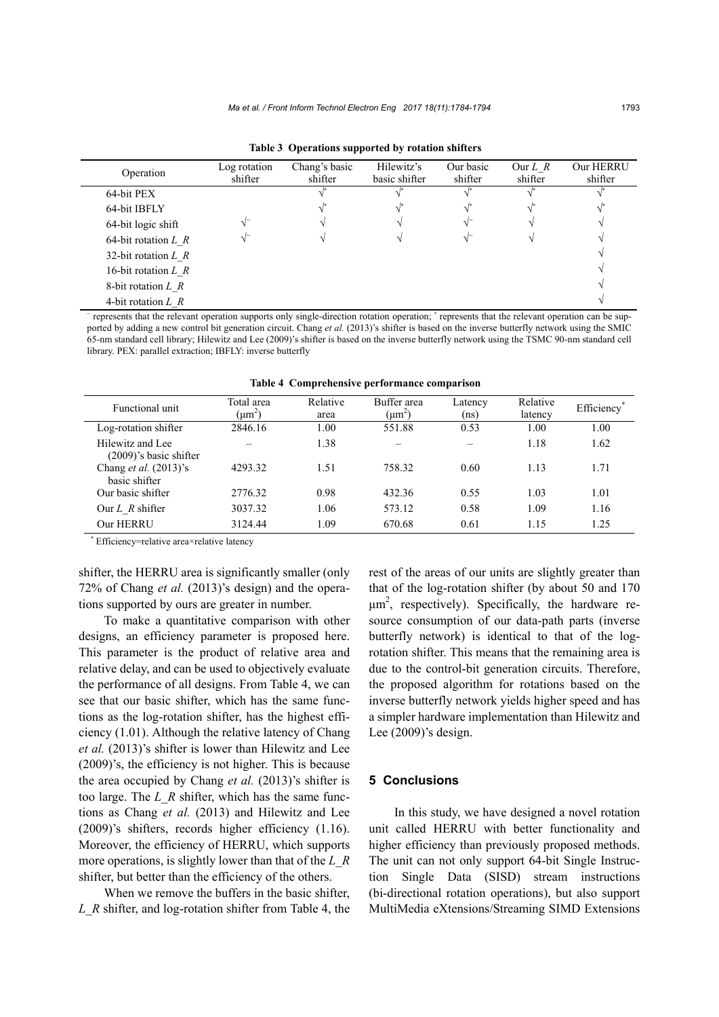| Operation                | Log rotation<br>shifter | Chang's basic<br>shifter | Hilewitz's<br>basic shifter | Our basic<br>shifter | Our $L \, R$<br>shifter | Our HERRU<br>shifter |
|--------------------------|-------------------------|--------------------------|-----------------------------|----------------------|-------------------------|----------------------|
| 64-bit PEX               |                         |                          |                             |                      |                         |                      |
| 64-bit IBFLY             |                         |                          |                             |                      |                         |                      |
| 64-bit logic shift       |                         |                          |                             |                      |                         |                      |
| 64-bit rotation $L \, R$ |                         |                          |                             |                      |                         |                      |
| 32-bit rotation $L \, R$ |                         |                          |                             |                      |                         |                      |
| 16-bit rotation $L \, R$ |                         |                          |                             |                      |                         |                      |
| 8-bit rotation $L \, R$  |                         |                          |                             |                      |                         |                      |
| 4-bit rotation $L \, R$  |                         |                          |                             |                      |                         |                      |

**Table 3 Operations supported by rotation shifters**

~ represents that the relevant operation supports only single-direction rotation operation; \* represents that the relevant operation can be supported by adding a new control bit generation circuit. Chang *et al.* (2013)'s shifter is based on the inverse butterfly network using the SMIC 65-nm standard cell library; Hilewitz and Lee (2009)'s shifter is based on the inverse butterfly network using the TSMC 90-nm standard cell library. PEX: parallel extraction; IBFLY: inverse butterfly

| Functional unit                                  | Total area     | Relative | Buffer area | Latency | Relative | Efficiency |
|--------------------------------------------------|----------------|----------|-------------|---------|----------|------------|
|                                                  | $\mu$ m $\sim$ | area     | $(\mu m^2)$ | (ns)    | latency  |            |
| Log-rotation shifter                             | 2846.16        | 1.00     | 551.88      | 0.53    | 1.00     | 1.00       |
| Hilewitz and Lee<br>$(2009)$ 's basic shifter    |                | 1.38     |             |         | 1.18     | 1.62       |
| Chang <i>et al.</i> $(2013)$ 's<br>basic shifter | 4293.32        | 1.51     | 758.32      | 0.60    | 1.13     | 1.71       |
| Our basic shifter                                | 2776.32        | 0.98     | 432.36      | 0.55    | 1.03     | 1.01       |
| Our $L$ R shifter                                | 3037.32        | 1.06     | 573.12      | 0.58    | 1.09     | 1.16       |
| Our HERRU                                        | 3124.44        | 1.09     | 670.68      | 0.61    | 1.15     | 1.25       |

**Table 4 Comprehensive performance comparison** 

\* Efficiency=relative area×relative latency

shifter, the HERRU area is significantly smaller (only 72% of Chang *et al.* (2013)'s design) and the operations supported by ours are greater in number.

To make a quantitative comparison with other designs, an efficiency parameter is proposed here. This parameter is the product of relative area and relative delay, and can be used to objectively evaluate the performance of all designs. From Table 4, we can see that our basic shifter, which has the same functions as the log-rotation shifter, has the highest efficiency (1.01). Although the relative latency of Chang *et al.* (2013)'s shifter is lower than Hilewitz and Lee (2009)'s, the efficiency is not higher. This is because the area occupied by Chang *et al.* (2013)'s shifter is too large. The *L*\_*R* shifter, which has the same functions as Chang *et al.* (2013) and Hilewitz and Lee (2009)'s shifters, records higher efficiency (1.16). Moreover, the efficiency of HERRU, which supports more operations, is slightly lower than that of the *L*\_*R* shifter, but better than the efficiency of the others.

When we remove the buffers in the basic shifter, *L*\_*R* shifter, and log-rotation shifter from Table 4, the rest of the areas of our units are slightly greater than that of the log-rotation shifter (by about 50 and 170  $\mu$ m<sup>2</sup>, respectively). Specifically, the hardware resource consumption of our data-path parts (inverse butterfly network) is identical to that of the logrotation shifter. This means that the remaining area is due to the control-bit generation circuits. Therefore, the proposed algorithm for rotations based on the inverse butterfly network yields higher speed and has a simpler hardware implementation than Hilewitz and Lee (2009)'s design.

## **5 Conclusions**

In this study, we have designed a novel rotation unit called HERRU with better functionality and higher efficiency than previously proposed methods. The unit can not only support 64-bit Single Instruction Single Data (SISD) stream instructions (bi-directional rotation operations), but also support MultiMedia eXtensions/Streaming SIMD Extensions